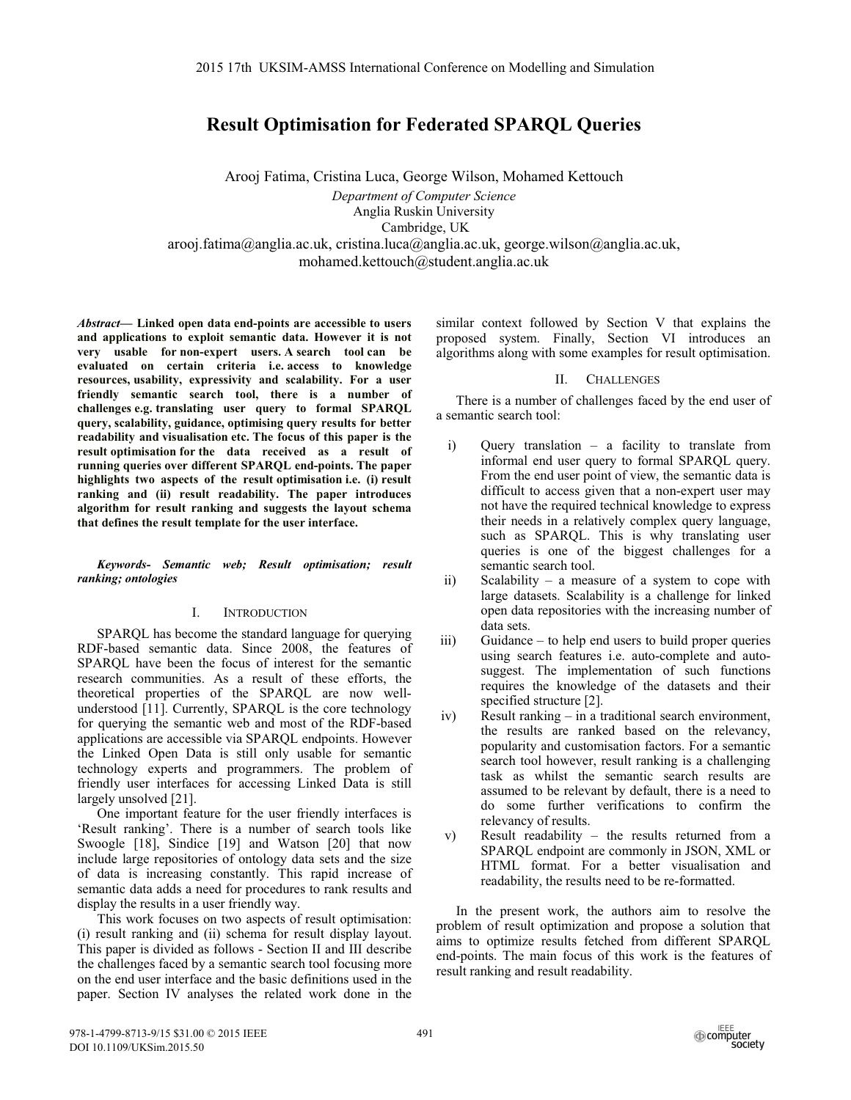# **Result Optimisation for Federated SPARQL Queries**

Arooj Fatima, Cristina Luca, George Wilson, Mohamed Kettouch *Department of Computer Science*  Anglia Ruskin University Cambridge, UK arooj.fatima@anglia.ac.uk, cristina.luca@anglia.ac.uk, george.wilson@anglia.ac.uk, mohamed.kettouch@student.anglia.ac.uk

*Abstract***— Linked open data end-points are accessible to users and applications to exploit semantic data. However it is not very usable for non-expert users. A search tool can be evaluated on certain criteria i.e. access to knowledge resources, usability, expressivity and scalability. For a user friendly semantic search tool, there is a number of challenges e.g. translating user query to formal SPARQL query, scalability, guidance, optimising query results for better readability and visualisation etc. The focus of this paper is the result optimisation for the data received as a result of running queries over different SPARQL end-points. The paper highlights two aspects of the result optimisation i.e. (i) result ranking and (ii) result readability. The paper introduces algorithm for result ranking and suggests the layout schema that defines the result template for the user interface.**

*Keywords- Semantic web; Result optimisation; result ranking; ontologies* 

# I. INTRODUCTION

SPARQL has become the standard language for querying RDF-based semantic data. Since 2008, the features of SPARQL have been the focus of interest for the semantic research communities. As a result of these efforts, the theoretical properties of the SPARQL are now wellunderstood [11]. Currently, SPARQL is the core technology for querying the semantic web and most of the RDF-based applications are accessible via SPARQL endpoints. However the Linked Open Data is still only usable for semantic technology experts and programmers. The problem of friendly user interfaces for accessing Linked Data is still largely unsolved [21].

One important feature for the user friendly interfaces is 'Result ranking'. There is a number of search tools like Swoogle [18], Sindice [19] and Watson [20] that now include large repositories of ontology data sets and the size of data is increasing constantly. This rapid increase of semantic data adds a need for procedures to rank results and display the results in a user friendly way.

This work focuses on two aspects of result optimisation: (i) result ranking and (ii) schema for result display layout. This paper is divided as follows - Section II and III describe the challenges faced by a semantic search tool focusing more on the end user interface and the basic definitions used in the paper. Section IV analyses the related work done in the similar context followed by Section V that explains the proposed system. Finally, Section VI introduces an algorithms along with some examples for result optimisation.

## II. CHALLENGES

There is a number of challenges faced by the end user of a semantic search tool:

- i) Query translation a facility to translate from informal end user query to formal SPARQL query. From the end user point of view, the semantic data is difficult to access given that a non-expert user may not have the required technical knowledge to express their needs in a relatively complex query language, such as SPARQL. This is why translating user queries is one of the biggest challenges for a semantic search tool.
- ii) Scalability a measure of a system to cope with large datasets. Scalability is a challenge for linked open data repositories with the increasing number of data sets.
- iii) Guidance to help end users to build proper queries using search features i.e. auto-complete and autosuggest. The implementation of such functions requires the knowledge of the datasets and their specified structure [2].
- iv) Result ranking in a traditional search environment, the results are ranked based on the relevancy, popularity and customisation factors. For a semantic search tool however, result ranking is a challenging task as whilst the semantic search results are assumed to be relevant by default, there is a need to do some further verifications to confirm the relevancy of results.
- v) Result readability the results returned from a SPARQL endpoint are commonly in JSON, XML or HTML format. For a better visualisation and readability, the results need to be re-formatted.

In the present work, the authors aim to resolve the problem of result optimization and propose a solution that aims to optimize results fetched from different SPARQL end-points. The main focus of this work is the features of result ranking and result readability.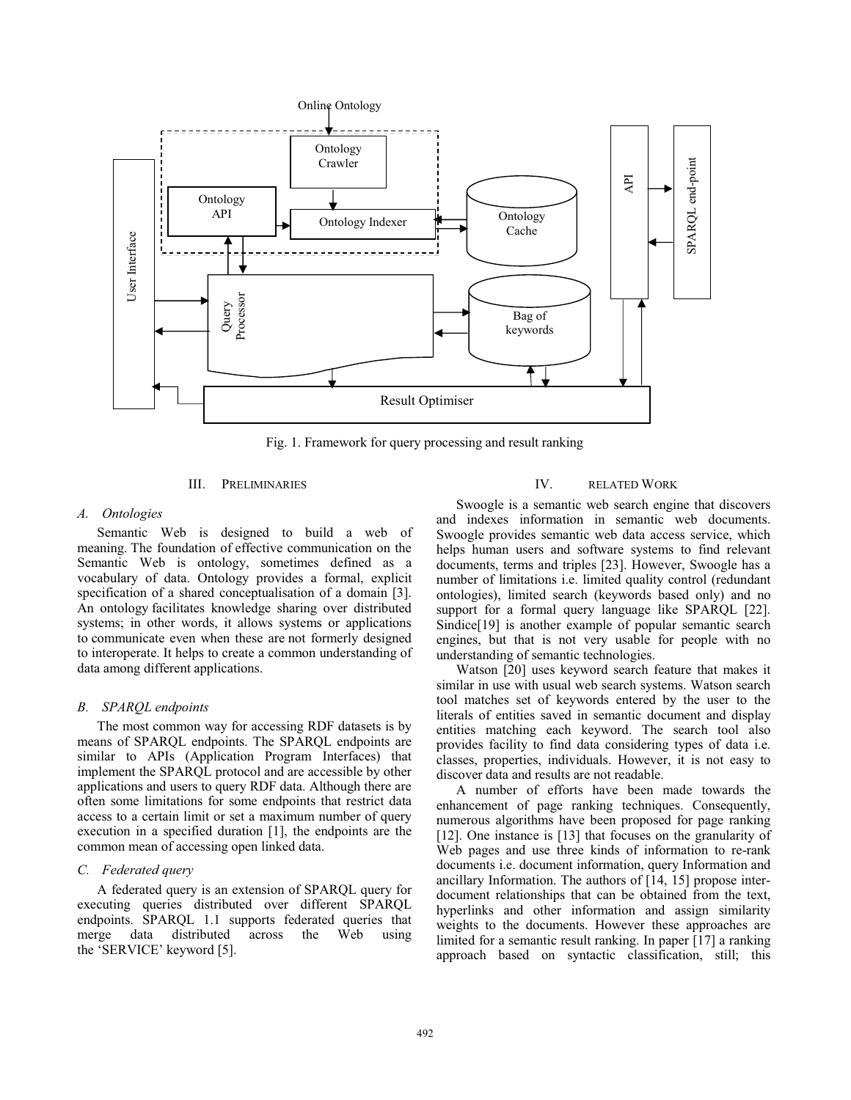

Fig. 1. Framework for query processing and result ranking

## III. PRELIMINARIES

## *A. Ontologies*

Semantic Web is designed to build a web of meaning. The foundation of effective communication on the Semantic Web is ontology, sometimes defined as a vocabulary of data. Ontology provides a formal, explicit specification of a shared conceptualisation of a domain [3]. An ontology facilitates knowledge sharing over distributed systems; in other words, it allows systems or applications to communicate even when these are not formerly designed to interoperate. It helps to create a common understanding of data among different applications.

## *B. SPARQL endpoints*

The most common way for accessing RDF datasets is by means of SPARQL endpoints. The SPARQL endpoints are similar to APIs (Application Program Interfaces) that implement the SPARQL protocol and are accessible by other applications and users to query RDF data. Although there are often some limitations for some endpoints that restrict data access to a certain limit or set a maximum number of query execution in a specified duration [1], the endpoints are the common mean of accessing open linked data.

# *C. Federated query*

A federated query is an extension of SPARQL query for executing queries distributed over different SPARQL endpoints. SPARQL 1.1 supports federated queries that merge data distributed across the Web using the 'SERVICE' keyword [5].

## IV. RELATED WORK

Swoogle is a semantic web search engine that discovers and indexes information in semantic web documents. Swoogle provides semantic web data access service, which helps human users and software systems to find relevant documents, terms and triples [23]. However, Swoogle has a number of limitations i.e. limited quality control (redundant ontologies), limited search (keywords based only) and no support for a formal query language like SPARQL [22]. Sindice<sup>[19]</sup> is another example of popular semantic search engines, but that is not very usable for people with no understanding of semantic technologies.

Watson [20] uses keyword search feature that makes it similar in use with usual web search systems. Watson search tool matches set of keywords entered by the user to the literals of entities saved in semantic document and display entities matching each keyword. The search tool also provides facility to find data considering types of data i.e. classes, properties, individuals. However, it is not easy to discover data and results are not readable.

A number of efforts have been made towards the enhancement of page ranking techniques. Consequently, numerous algorithms have been proposed for page ranking [12]. One instance is [13] that focuses on the granularity of Web pages and use three kinds of information to re-rank documents i.e. document information, query Information and ancillary Information. The authors of [14, 15] propose interdocument relationships that can be obtained from the text, hyperlinks and other information and assign similarity weights to the documents. However these approaches are limited for a semantic result ranking. In paper [17] a ranking approach based on syntactic classification, still; this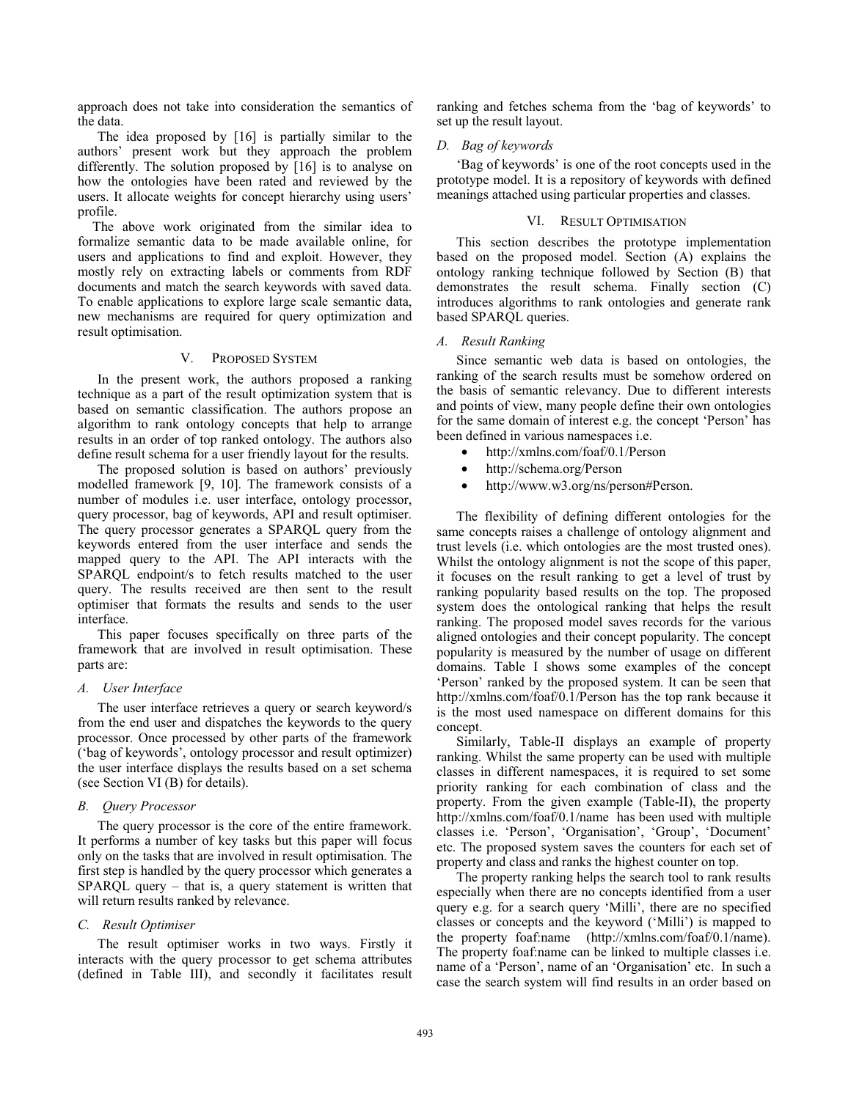approach does not take into consideration the semantics of the data.

The idea proposed by [16] is partially similar to the authors' present work but they approach the problem differently. The solution proposed by [16] is to analyse on how the ontologies have been rated and reviewed by the users. It allocate weights for concept hierarchy using users' profile.

The above work originated from the similar idea to formalize semantic data to be made available online, for users and applications to find and exploit. However, they mostly rely on extracting labels or comments from RDF documents and match the search keywords with saved data. To enable applications to explore large scale semantic data, new mechanisms are required for query optimization and result optimisation.

## V. PROPOSED SYSTEM

In the present work, the authors proposed a ranking technique as a part of the result optimization system that is based on semantic classification. The authors propose an algorithm to rank ontology concepts that help to arrange results in an order of top ranked ontology. The authors also define result schema for a user friendly layout for the results.

The proposed solution is based on authors' previously modelled framework [9, 10]. The framework consists of a number of modules i.e. user interface, ontology processor, query processor, bag of keywords, API and result optimiser. The query processor generates a SPARQL query from the keywords entered from the user interface and sends the mapped query to the API. The API interacts with the SPARQL endpoint/s to fetch results matched to the user query. The results received are then sent to the result optimiser that formats the results and sends to the user interface.

This paper focuses specifically on three parts of the framework that are involved in result optimisation. These parts are:

## *A. User Interface*

The user interface retrieves a query or search keyword/s from the end user and dispatches the keywords to the query processor. Once processed by other parts of the framework ('bag of keywords', ontology processor and result optimizer) the user interface displays the results based on a set schema (see Section VI (B) for details).

#### *B. Query Processor*

The query processor is the core of the entire framework. It performs a number of key tasks but this paper will focus only on the tasks that are involved in result optimisation. The first step is handled by the query processor which generates a SPARQL query – that is, a query statement is written that will return results ranked by relevance.

## *C. Result Optimiser*

The result optimiser works in two ways. Firstly it interacts with the query processor to get schema attributes (defined in Table III), and secondly it facilitates result ranking and fetches schema from the 'bag of keywords' to set up the result layout.

#### *D. Bag of keywords*

'Bag of keywords' is one of the root concepts used in the prototype model. It is a repository of keywords with defined meanings attached using particular properties and classes.

## VI. RESULT OPTIMISATION

This section describes the prototype implementation based on the proposed model. Section (A) explains the ontology ranking technique followed by Section (B) that demonstrates the result schema. Finally section (C) introduces algorithms to rank ontologies and generate rank based SPARQL queries.

## *A. Result Ranking*

Since semantic web data is based on ontologies, the ranking of the search results must be somehow ordered on the basis of semantic relevancy. Due to different interests and points of view, many people define their own ontologies for the same domain of interest e.g. the concept 'Person' has been defined in various namespaces i.e.

- http://xmlns.com/foaf/0.1/Person
- http://schema.org/Person
- http://www.w3.org/ns/person#Person.

The flexibility of defining different ontologies for the same concepts raises a challenge of ontology alignment and trust levels (i.e. which ontologies are the most trusted ones). Whilst the ontology alignment is not the scope of this paper, it focuses on the result ranking to get a level of trust by ranking popularity based results on the top. The proposed system does the ontological ranking that helps the result ranking. The proposed model saves records for the various aligned ontologies and their concept popularity. The concept popularity is measured by the number of usage on different domains. Table I shows some examples of the concept 'Person' ranked by the proposed system. It can be seen that http://xmlns.com/foaf/0.1/Person has the top rank because it is the most used namespace on different domains for this concept.

Similarly, Table-II displays an example of property ranking. Whilst the same property can be used with multiple classes in different namespaces, it is required to set some priority ranking for each combination of class and the property. From the given example (Table-II), the property http://xmlns.com/foaf/0.1/name has been used with multiple classes i.e. 'Person', 'Organisation', 'Group', 'Document' etc. The proposed system saves the counters for each set of property and class and ranks the highest counter on top.

The property ranking helps the search tool to rank results especially when there are no concepts identified from a user query e.g. for a search query 'Milli', there are no specified classes or concepts and the keyword ('Milli') is mapped to the property foaf:name (http://xmlns.com/foaf/0.1/name). The property foaf:name can be linked to multiple classes i.e. name of a 'Person', name of an 'Organisation' etc. In such a case the search system will find results in an order based on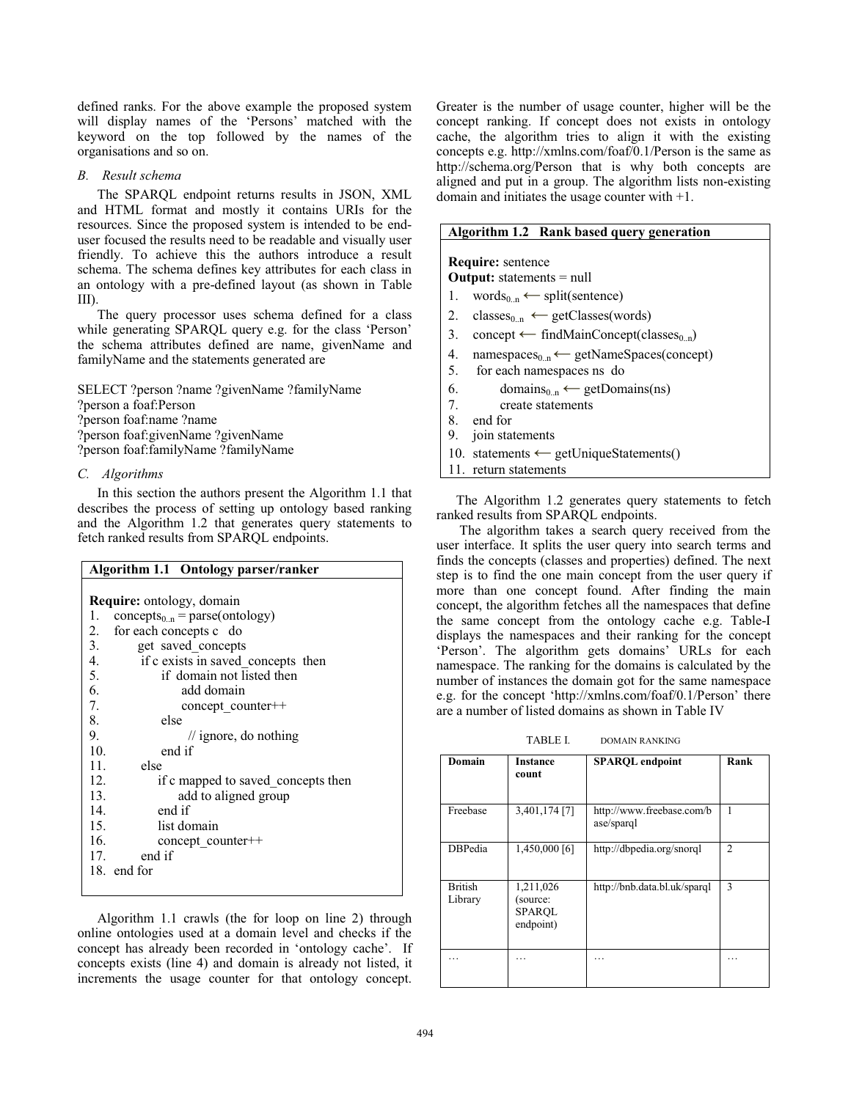defined ranks. For the above example the proposed system will display names of the 'Persons' matched with the keyword on the top followed by the names of the organisations and so on.

## *B. Result schema*

The SPARQL endpoint returns results in JSON, XML and HTML format and mostly it contains URIs for the resources. Since the proposed system is intended to be enduser focused the results need to be readable and visually user friendly. To achieve this the authors introduce a result schema. The schema defines key attributes for each class in an ontology with a pre-defined layout (as shown in Table III).

The query processor uses schema defined for a class while generating SPARQL query e.g. for the class 'Person' the schema attributes defined are name, givenName and familyName and the statements generated are

SELECT ?person ?name ?givenName ?familyName ?person a foaf:Person ?person foaf:name ?name ?person foaf:givenName ?givenName ?person foaf:familyName ?familyName

# *C. Algorithms*

In this section the authors present the Algorithm 1.1 that describes the process of setting up ontology based ranking and the Algorithm 1.2 that generates query statements to fetch ranked results from SPARQL endpoints.

|     | Algorithm 1.1 Ontology parser/ranker |  |  |  |
|-----|--------------------------------------|--|--|--|
|     |                                      |  |  |  |
|     | <b>Require:</b> ontology, domain     |  |  |  |
| 1.  | $concepts_{0,n} = parse(ontology)$   |  |  |  |
| 2.  | for each concepts c do               |  |  |  |
| 3.  | get saved concepts                   |  |  |  |
| 4.  | if c exists in saved concepts then   |  |  |  |
| 5.  | if domain not listed then            |  |  |  |
| 6.  | add domain                           |  |  |  |
| 7.  | $concept$ counter++                  |  |  |  |
| 8.  | else                                 |  |  |  |
| 9.  | $\frac{1}{2}$ ignore, do nothing     |  |  |  |
| 10. | end if                               |  |  |  |
| 11. | else                                 |  |  |  |
| 12. | if c mapped to saved_concepts then   |  |  |  |
| 13. | add to aligned group                 |  |  |  |
| 14. | end if                               |  |  |  |
| 15. | list domain                          |  |  |  |
| 16. | $concept$ counter++                  |  |  |  |
| 17. | end if                               |  |  |  |
|     | 18. end for                          |  |  |  |
|     |                                      |  |  |  |

Algorithm 1.1 crawls (the for loop on line 2) through online ontologies used at a domain level and checks if the concept has already been recorded in 'ontology cache'. If concepts exists (line 4) and domain is already not listed, it increments the usage counter for that ontology concept. Greater is the number of usage counter, higher will be the concept ranking. If concept does not exists in ontology cache, the algorithm tries to align it with the existing concepts e.g. http://xmlns.com/foaf/0.1/Person is the same as http://schema.org/Person that is why both concepts are aligned and put in a group. The algorithm lists non-existing domain and initiates the usage counter with +1.

## **Algorithm 1.2 Rank based query generation**

## **Require:** sentence

- **Output:** statements = null
- 1. words<sub>0..n</sub>  $\leftarrow$  split(sentence)
- 2. classes<sub>0..n</sub>  $\leftarrow$  getClasses(words)
- 3. concept  $\leftarrow$  findMainConcept(classes<sub>0.n</sub>)
- 4. namespaces<sub>0.n</sub>  $\leftarrow$  getNameSpaces(concept)
- 5. for each namespaces ns do
- 6. domains<sub>0..n</sub>  $\leftarrow$  getDomains(ns)
- 7. create statements
- 8. end for
- 9. join statements
- 10. statements  $\leftarrow$  getUniqueStatements()
- 11. return statements

The Algorithm 1.2 generates query statements to fetch ranked results from SPARQL endpoints.

 The algorithm takes a search query received from the user interface. It splits the user query into search terms and finds the concepts (classes and properties) defined. The next step is to find the one main concept from the user query if more than one concept found. After finding the main concept, the algorithm fetches all the namespaces that define the same concept from the ontology cache e.g. Table-I displays the namespaces and their ranking for the concept 'Person'. The algorithm gets domains' URLs for each namespace. The ranking for the domains is calculated by the number of instances the domain got for the same namespace e.g. for the concept 'http://xmlns.com/foaf/0.1/Person' there are a number of listed domains as shown in Table IV

TABLE I. DOMAIN RANKING

| Domain                    | <b>Instance</b><br>count                            | <b>SPARQL</b> endpoint                  | Rank           |
|---------------------------|-----------------------------------------------------|-----------------------------------------|----------------|
| Freebase                  | 3,401,174 [7]                                       | http://www.freebase.com/b<br>ase/sparql | 1              |
| <b>DBPedia</b>            | 1,450,000 [6]                                       | http://dbpedia.org/snorql               | $\mathfrak{D}$ |
| <b>British</b><br>Library | 1,211,026<br>(source:<br><b>SPAROL</b><br>endpoint) | http://bnb.data.bl.uk/sparql            | 3              |
| .                         |                                                     | .                                       | .              |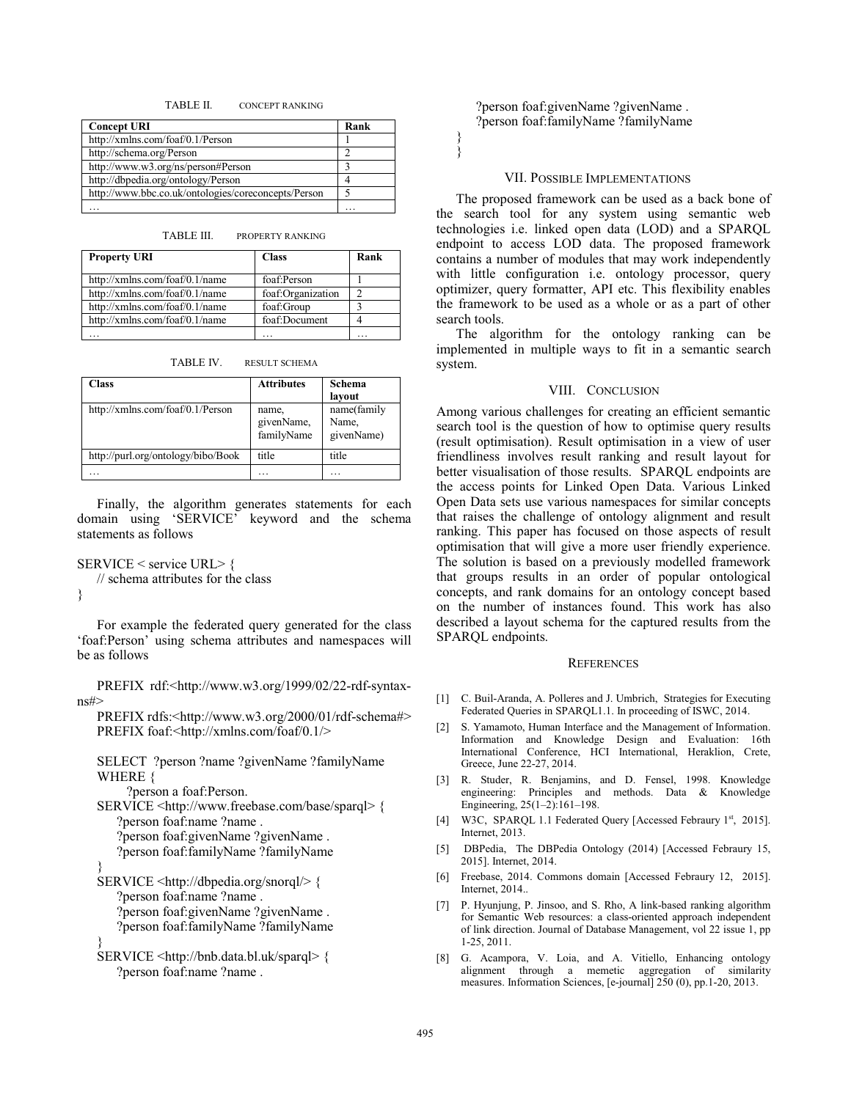TABLE II. CONCEPT RANKING

| <b>Concept URI</b>                                  | Rank |
|-----------------------------------------------------|------|
| http://xmlns.com/foaf/0.1/Person                    |      |
| http://schema.org/Person                            |      |
| http://www.w3.org/ns/person#Person                  |      |
| http://dbpedia.org/ontology/Person                  |      |
| http://www.bbc.co.uk/ontologies/coreconcepts/Person |      |
|                                                     |      |

| TABLE III. | PROPERTY RANKING |
|------------|------------------|
|------------|------------------|

| <b>Property URI</b>            | <b>Class</b>      | Rank |
|--------------------------------|-------------------|------|
| http://xmlns.com/foaf/0.1/name | foaf:Person       |      |
| http://xmlns.com/foaf/0.1/name | foaf:Organization |      |
| http://xmlns.com/foaf/0.1/name | foaf:Group        |      |
| http://xmlns.com/foaf/0.1/name | foaf:Document     |      |
|                                | $\cdots$          | .    |

TABLE IV. RESULT SCHEMA

| <b>Class</b>                       | <b>Attributes</b>                 | Schema<br>lavout                   |
|------------------------------------|-----------------------------------|------------------------------------|
| http://xmlns.com/foaf/0.1/Person   | name,<br>givenName,<br>familyName | name(family<br>Name,<br>givenName) |
| http://purl.org/ontology/bibo/Book | title                             | title                              |
|                                    |                                   |                                    |

Finally, the algorithm generates statements for each domain using 'SERVICE' keyword and the schema statements as follows

SERVICE < service URL> {

```
// schema attributes for the class
```
}

For example the federated query generated for the class 'foaf:Person' using schema attributes and namespaces will be as follows

PREFIX rdf:<http://www.w3.org/1999/02/22-rdf-syntaxns#>

PREFIX rdfs:<http://www.w3.org/2000/01/rdf-schema#> PREFIX foaf:<http://xmlns.com/foaf/0.1/>

SELECT ?person ?name ?givenName ?familyName WHERE {

?person a foaf:Person.

SERVICE <http://www.freebase.com/base/sparql> { ?person foaf:name ?name . ?person foaf:givenName ?givenName .

?person foaf:familyName ?familyName

}

SERVICE <http://dbpedia.org/snorql/> { ?person foaf:name ?name . ?person foaf:givenName ?givenName . ?person foaf:familyName ?familyName

```
}
```
SERVICE <http://bnb.data.bl.uk/sparql> { ?person foaf:name ?name .

?person foaf:givenName ?givenName . ?person foaf:familyName ?familyName

```
} 
}
```
#### VII. POSSIBLE IMPLEMENTATIONS

The proposed framework can be used as a back bone of the search tool for any system using semantic web technologies i.e. linked open data (LOD) and a SPARQL endpoint to access LOD data. The proposed framework contains a number of modules that may work independently with little configuration i.e. ontology processor, query optimizer, query formatter, API etc. This flexibility enables the framework to be used as a whole or as a part of other search tools.

The algorithm for the ontology ranking can be implemented in multiple ways to fit in a semantic search system.

## VIII. CONCLUSION

Among various challenges for creating an efficient semantic search tool is the question of how to optimise query results (result optimisation). Result optimisation in a view of user friendliness involves result ranking and result layout for better visualisation of those results. SPARQL endpoints are the access points for Linked Open Data. Various Linked Open Data sets use various namespaces for similar concepts that raises the challenge of ontology alignment and result ranking. This paper has focused on those aspects of result optimisation that will give a more user friendly experience. The solution is based on a previously modelled framework that groups results in an order of popular ontological concepts, and rank domains for an ontology concept based on the number of instances found. This work has also described a layout schema for the captured results from the SPARQL endpoints.

#### **REFERENCES**

- [1] C. Buil-Aranda, A. Polleres and J. Umbrich, Strategies for Executing Federated Queries in SPARQL1.1. In proceeding of ISWC, 2014.
- [2] S. Yamamoto, Human Interface and the Management of Information. Information and Knowledge Design and Evaluation: 16th International Conference, HCI International, Heraklion, Crete, Greece, June 22-27, 2014.
- [3] R. Studer, R. Benjamins, and D. Fensel, 1998. Knowledge engineering: Principles and methods. Data & Knowledge Engineering, 25(1–2):161–198.
- [4] W3C, SPARQL 1.1 Federated Query [Accessed Febraury 1st, 2015]. Internet, 2013.
- [5] DBPedia, The DBPedia Ontology (2014) [Accessed Febraury 15, 2015]. Internet, 2014.
- [6] Freebase, 2014. Commons domain [Accessed Febraury 12, 2015]. Internet, 2014..
- [7] P. Hyunjung, P. Jinsoo, and S. Rho, A link-based ranking algorithm for Semantic Web resources: a class-oriented approach independent of link direction. Journal of Database Management, vol 22 issue 1, pp 1-25, 2011.
- [8] G. Acampora, V. Loia, and A. Vitiello, Enhancing ontology alignment through a memetic aggregation of similarity measures. Information Sciences, [e-journal] 250 (0), pp.1-20, 2013.